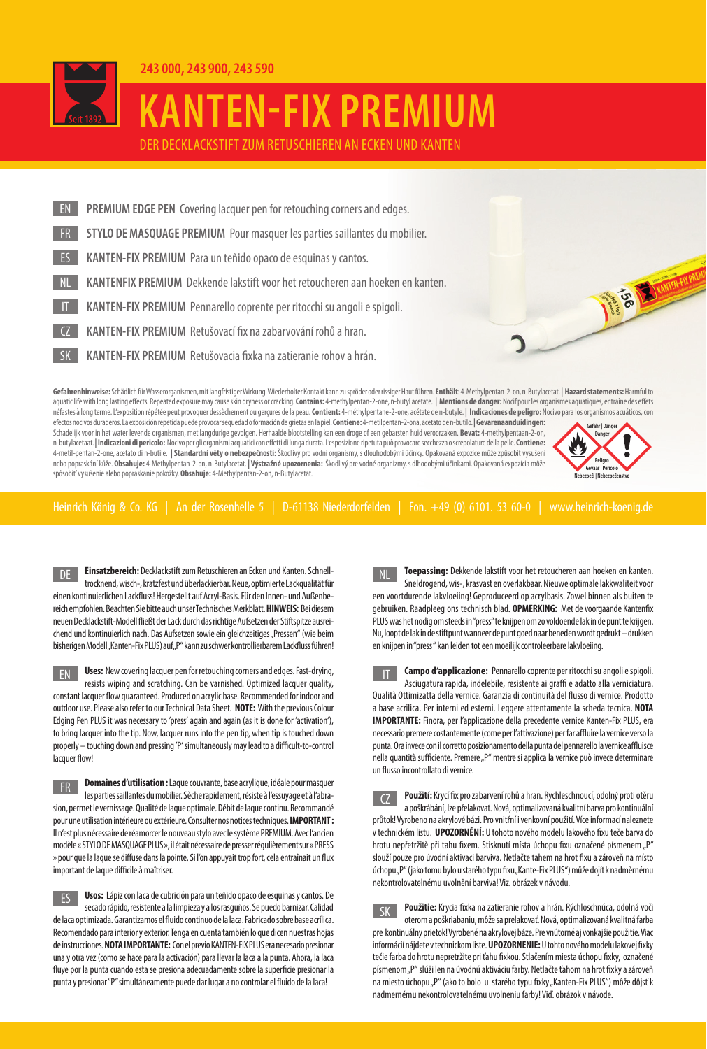

**243 000, 243 900, 243 590**

## **KANTEN-FIX PREMIUM**

DER DECKLACKSTIFT ZUM RETUSCHIEREN AN ECKEN UND KANTEN

Gefahrenhinweise: Schädlich für Wasserorganismen. mit langfristiger Wirkung. Wiederholter Kontakt kann zu spröder oder rissiger Haut führen. Enthält: 4-Methylpentan-2-on. n-Butylacetat. | Hazard statements: Harmful to PREMIUM EDGE PEN Covering lacquer pen for retouching corners and edges. **STYLO DE MASQUAGE PREMIUM Pour masquer les parties saillantes du mobilier. ES KANTEN-FIX PREMIUM** Para un teñido opaco de esquinas y cantos. KANTEN-FIX PREMIUM Pennarello coprente per ritocchi su angoli e spigoli. NL **KANTENFIX PREMIUM** Dekkende lakstift voor het retoucheren aan hoeken en kanten. KANTEN-FIX PREMIUM Retušovací fix na zabarvování rohů a hran. **SK KANTEN-FIX PREMIUM** Retušovacia fixka na zatieranie rohov a hrán.

aquatic life with long lasting effects. Repeated exposure may cause skin dryness or cracking. Contains: 4-methylpentan-2-one, n-butyl acetate. | Mentions de danger: Nocif pour les organismes aquatiques, entraîne des effets néfastes à long terme. L'exposition répétée peut provoquer dessèchement ou gerçures de la peau. Contient: 4-méthylpentane-2-one, acétate de n-butyle. | Indicaciones de peligro: Nocivo para los organismos acuáticos, con efectos nocivos duraderos. La exposición repetida puede provocar sequedad o formación de grietas en la piel. **Contiene:** 4-metilpentan-2-ona, acetato de n-butilo. **|Gevarenaanduidingen:** Schadelijk voor in het water levende organismen, met langdurige gevolgen. Herhaalde blootstelling kan een droge of een gebarsten huid veroorzaken. **Bevat:** 4-methylpentaan-2-on, n-butylacetaat. **|Indicazioni di pericolo:** Nocivo per gli organismi acquatici con eff etti di lunga durata. L'esposizione ripetuta può provocare secchezza o screpolature della pelle. **Contiene:** 4-metil-pentan-2-one, acetato di n-butile. **|Standardní věty o nebezpečnosti:** Škodlivý pro vodní organismy, s dlouhodobými účinky. Opakovaná expozice může způsobit vysušení nebo popraskání kůže. **Obsahuje:** 4-Methylpentan-2-on, n-Butylacetat. **| Výstražné upozornenia:** Škodlivý pre vodné organizmy, s dlhodobými účinkami. Opakovaná expozícia môže spôsobit' vysušenie alebo popraskanie pokožky. **Obsahuje:** 4-Methylpentan-2-on, n-Butylacetat. **Peligro Gevaar | Pericolo Gefahr | Danger Danger**

**Nebezpečí | Nebezpečenstvo**

**ES RIGHT** 

Heinrich König & Co. KG | An der Rosenhelle 5 | D-61138 Niederdorfelden | Fon. +49 (0) 6101. 53 60-0 | www.heinrich-koenig.de

**Einsatzbereich:** Decklackstift zum Retuschieren an Ecken und Kanten. Schnelltrocknend, wisch-, kratzfest und überlackierbar. Neue, optimierte Lackqualität für einen kontinuierlichen Lackfluss! Hergestellt auf Acryl-Basis. Für den Innen- und Außenbereich empfohlen. Beachten Sie bitte auch unser Technisches Merkblatt. **HINWEIS:** Bei diesem neuen Decklackstift-Modell fließt der Lack durch das richtige Aufsetzen der Stiftspitze ausreichend und kontinuierlich nach. Das Aufsetzen sowie ein gleichzeitiges "Pressen" (wie beim bisherigen Modell "Kanten-Fix PLUS) auf "P" kann zu schwer kontrollierbarem Lackfluss führen! DE

**Uses:** New covering lacquer pen for retouching corners and edges. Fast-drying, resists wiping and scratching. Can be varnished. Optimized lacquer quality, constant lacquer flow quaranteed. Produced on acrylic base. Recommended for indoor and outdoor use. Please also refer to our Technical Data Sheet. **NOTE:** With the previous Colour Edging Pen PLUS it was necessary to 'press' again and again (as it is done for 'activation'), to bring lacquer into the tip. Now, lacquer runs into the pen tip, when tip is touched down properly – touching down and pressing 'P' simultaneously may lead to a difficult-to-control lacquer flow! EN

**Domaines d'utilisation :** Laque couvrante, base acrylique, idéale pour masquer les parties saillantes du mobilier. Sèche rapidement, résiste à l'essuyage et à l'abrasion, permet le vernissage. Qualité de laque optimale. Débit de laque continu. Recommandé pour une utilisation intérieure ou extérieure. Consulter nos notices techniques. **IMPORTANT :** Il n'est plus nécessaire de réamorcer le nouveau stylo avec le système PREMIUM. Avec l'ancien modèle « STYLO DE MASQUAGE PLUS », il était nécessaire de presser régulièrement sur « PRESS » pour que la laque se diffuse dans la pointe. Si l'on appuyait trop fort, cela entraînait un flux important de laque difficile à maîtriser. FR

**Usos:** Lápiz con laca de cubrición para un teñido opaco de esquinas y cantos. De secado rápido, resistente a la limpieza y a los rasguños. Se puedo barnizar. Calidad de laca optimizada. Garantizamos el fluido continuo de la laca. Fabricado sobre base acrílica. Recomendado para interior y exterior. Tenga en cuenta también lo que dicen nuestras hojas de instrucciones. **NOTA IMPORTANTE:** Con el previo KANTEN-FIX PLUS era necesario presionar una y otra vez (como se hace para la activación) para llevar la laca a la punta. Ahora, la laca fluye por la punta cuando esta se presiona adecuadamente sobre la superficie presionar la punta y presionar "P" simultáneamente puede dar lugar a no controlar el fluido de la laca! ES

**Toepassing:** Dekkende lakstift voor het retoucheren aan hoeken en kanten. Sneldrogend, wis-, krasvast en overlakbaar. Nieuwe optimale lakkwaliteit voor een voortdurende lakvloeiing! Geproduceerd op acrylbasis. Zowel binnen als buiten te gebruiken. Raadpleeg ons technisch blad. **OPMERKING:** Met de voorgaande Kantenfix PLUS was het nodig om steeds in "press" te knijpen om zo voldoende lak in de punt te krijgen. Nu, loopt de lak in de stiftpunt wanneer de punt goed naar beneden wordt gedrukt – drukken en knijpen in "press " kan leiden tot een moeilijk controleerbare lakvloeiing. NL

**Campo d'applicazione:** Pennarello coprente per ritocchi su angoli e spigoli. Asciugatura rapida, indelebile, resistente ai graffi e adatto alla verniciatura. Qualità Ottimizatta della vernice. Garanzia di continuità del flusso di vernice. Prodotto a base acrilica. Per interni ed esterni. Leggere attentamente la scheda tecnica. **NOTA IMPORTANTE:** Finora, per l'applicazione della precedente vernice Kanten-Fix PLUS, era necessario premere costantemente (come per l'attivazione) per far affluire la vernice verso la punta. Ora invece con il corretto posizionamento della punta del pennarello la vernice affluisce nella quantità sufficiente. Premere "P" mentre si applica la vernice può invece determinare un flusso incontrollato di vernice. IT

Použití: Krycí fix pro zabarvení rohů a hran. Rychleschnoucí, odolný proti otěru a poškrábání, lze přelakovat. Nová, optimalizovaná kvalitní barva pro kontinuální průtok! Vyrobeno na akrylové bázi. Pro vnitřní i venkovní použití. Více informací naleznete v technickém listu. **UPOZORNĚNÍ:** U tohoto nového modelu lakového fixu teče barva do hrotu nepřetržitě při tahu fixem. Stisknutí místa úchopu fixu označené písmenem "P" slouží pouze pro úvodní aktivaci barviva. Netlačte tahem na hrot fixu a zároveň na místo úchopu"P" (jako tomu bylo u starého typu fixu"Kante-Fix PLUS") může dojít k nadměrnému nekontrolovatelnému uvolnění barviva! Viz. obrázek v návodu.  $\overline{C}$ 

Použitie: Krycia fixka na zatieranie rohov a hrán. Rýchloschnúca, odolná voči oterom a poškriabaniu, môže sa prelakovať. Nová, optimalizovaná kvalitná farba pre kontinuálny prietok! Vyrobené na akrylovej báze. Pre vnútorné aj vonkajšie použitie. Viac informácií nájdete v technickom liste. **UPOZORNENIE:** U tohto nového modelu lakovej fixky tečie farba do hrotu nepretržite pri ťahu fixkou. Stlačením miesta úchopu fixky, označené písmenom "P" slúži len na úvodnú aktiváciu farby. Netlačte ťahom na hrot fixky a zároveň na miesto úchopu "P" (ako to bolo u starého typu fixky "Kanten-Fix PLUS") môže dôjsť k nadmernému nekontrolovatelnému uvolneniu farby! Viď. obrázok v návode.  $SK$